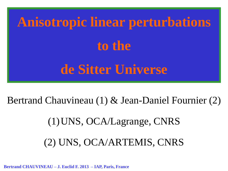**Anisotropic linear perturbations to the de Sitter Universe**

Bertrand Chauvineau (1) & Jean-Daniel Fournier (2)

(1)UNS, OCA/Lagrange, CNRS

(2) UNS, OCA/ARTEMIS, CNRS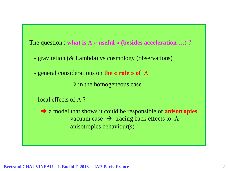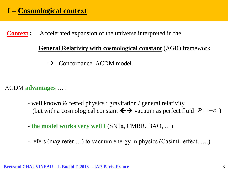**Context :** Accelerated expansion of the universe interpreted in the

## **General Relativity with cosmological constant** ( $\triangle$ GR) framework

 $\rightarrow$  Concordance  $\Lambda$ CDM model

CCDM **advantages** … :

- well known & tested physics : gravitation / general relativity (but with a cosmological constant  $\Longleftrightarrow$  vacuum as perfect fluid  $P = -\varepsilon$ )
- **the model works very well !** (SN1a, CMBR, BAO, …)
- refers (may refer …) to vacuum energy in physics (Casimir effect, ….)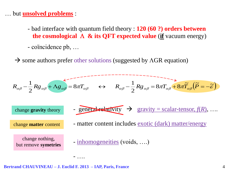## … but **unsolved problems** :

- bad interface with quantum field theory : **120 (60 ?) orders between the cosmological**  $\Lambda$  **& its QFT expected value** (if vacuum energy)
- coïncidence pb, …
- $\rightarrow$  some authors prefer other solutions (suggested by  $\Lambda$ GR equation)

$$
R_{\alpha\beta} - \frac{1}{2} R g_{\alpha\beta} + \Lambda g_{\alpha\beta} = 8\pi T_{\alpha\beta} \qquad \leftrightarrow \qquad R_{\alpha\beta} - \frac{1}{2} R g_{\alpha\beta} = 8\pi T_{\alpha\beta} + 8\pi \widetilde{T}_{\alpha\beta} (\widetilde{P} = -\widetilde{\epsilon})
$$
  
change gravity theory  
change matter content  
change matter content  
change in  
the number of interest in the  
values exotic (dark) matter/energy  
change nothing,  
but remove symetries

**Bertrand CHAUVINEAU – J. Euclid F. 2013 – IAP, Paris, France**

- ….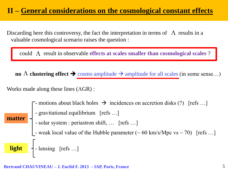# **II – General considerations on the cosmological constant effects**

Discarding here this controversy, the fact the interpretation in terms of  $\Lambda$  results in a valuable cosmological scenario raises the question :

could  $\Lambda$  result in observable **effects at scales smaller than cosmological scales** ?

**no**  $\Lambda$  **clustering effect**  $\rightarrow$  cosmo amplitude  $\rightarrow$  amplitude for all scales (in some sense...)

Works made along these lines  $(AGR)$ :

 $\Gamma$ - motions about black holes  $\rightarrow$  incidences on accretion disks (?) [refs ...] **Example 1** - gravitational equilibrium [refs ...] solar system : periastron shift, ... [refs ...] - weak local value of the Hubble parameter  $(~60 \text{ km/s/Mpc vs} ~ 70)$  [refs ...] **light**  $\left\{ \cdot \right\}$  - lensing [refs ...] **matter**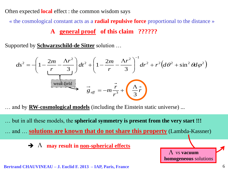Often expected **local** effect : the common wisdom says

« the cosmological constant acts as a **radial repulsive force** proportional to the distance »

**A general proof of this claim ??????**

Supported by **Schwarzschild-de Sitter** solution …

$$
ds^{2} = -\left(1 - \frac{2m}{r} - \frac{\Lambda r^{2}}{3}\right)dt^{2} + \left(1 - \frac{2m}{r} - \frac{\Lambda r^{2}}{3}\right)^{-1}dr^{2} + r^{2}\left(d\theta^{2} + \sin^{2}\theta d\varphi^{2}\right)
$$
  
\nweak field

… and by **RW-cosmological models** (including the Einstein static universe) ...

… but in all these models, the **spherical symmetry is present from the very start !!!**

… and … **solutions are known that do not share this property** (Lambda-Kassner)

 $\rightarrow \Lambda$  may result in <u>non-spherical effects</u>

**Bertrand CHAUVINEAU – J. Euclid F. 2013 – IAP, Paris, France**

 $\Lambda$  vs **vacuum** 

**homogeneous** solutions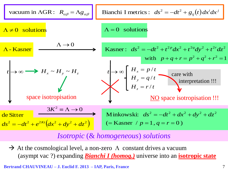

# *Isotropic* (& *homogeneous*) *solutions*

 $\rightarrow$  At the cosmological level, a non-zero  $\Lambda$  constant drives a vacuum (asympt vac ?) expanding *Bianchi I (homog.)* universe into an **isotropic state**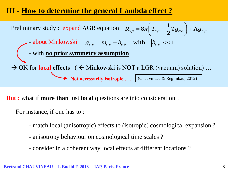# **III - How to determine the general Lambda effect ?**



**But :** what if **more than** just **local** questions are into consideration ?

For instance, if one has to :

- match local (anisotropic) effects to (isotropic) cosmological expansion ?
- anisotropy behaviour on cosmological time scales ?
- consider in a coherent way local effects at different locations ?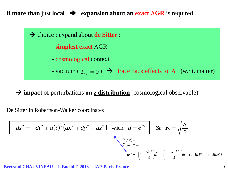If **more than** just **local**  $\rightarrow$  **expansion about an exact**  $\Lambda$ **GR** is required



 **impact** of perturbations **on** *z* **distribution** (cosmological observable)

De Sitter in Robertson-Walker coordinates

$$
ds^{2} = -dt^{2} + a(t)^{2} (dx^{2} + dy^{2} + dz^{2})
$$
 with  $a = e^{Kt}$   $\& K = \sqrt{\frac{\Lambda}{3}}$ \n
$$
\tilde{r}(t, r) = ...
$$
\n
$$
\tilde{r}(t, r) = ...
$$
\n
$$
ds^{2} = \left(1 - \frac{\Lambda \tilde{r}^{2}}{3}\right) d\tilde{r}^{2} + \left(1 - \frac{\Lambda \tilde{r}^{2}}{3}\right)^{-1} d\tilde{r}^{2} + \tilde{r}^{2} (d\theta^{2} + \sin^{2} \theta d\varphi^{2})
$$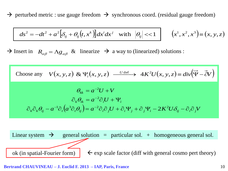$\rightarrow$  perturbed metric : use gauge freedom  $\rightarrow$  synchronous coord. (residual gauge freedom)

$$
ds^{2} = -dt^{2} + a^{2} \Big[ \delta_{ij} + \theta_{ij} \Big( t, x^{k} \Big) \Big] dx^{i} dx^{j} \quad \text{with} \quad \Big| \theta_{ij} \Big| \ll 1 \quad \Big| \qquad \Big( x^{1}, x^{2}, x^{3} \Big) \equiv \Big( x, y, z \Big)
$$

 $\rightarrow$  Insert in  $R_{\alpha\beta} = \Lambda g_{\alpha\beta}$  & linearize  $\rightarrow$  a way to (linearized) solutions :

Choose any 
$$
V(x, y, z) \& \Psi_i(x, y, z) \xrightarrow{U \text{ def}} 4K^2 U(x, y, z) = div(\overrightarrow{\Psi} - \overrightarrow{\partial} V)
$$
  
\n
$$
\theta_{kk} = a^{-2}U + V
$$
\n
$$
\partial_k \theta_{ik} = a^{-2} \partial_i U + \Psi_i
$$
\n
$$
\partial_k \partial_k \theta_{ij} - a^{-1} \partial_i (a^3 \partial_i \theta_{ij}) = a^{-2} \partial_i \partial_j U + \partial_i \Psi_j + \partial_j \Psi_i - 2K^2 U \partial_{ij} - \partial_i \partial_j V
$$

Linear system  $\rightarrow$  general solution = particular sol. + homogeneous general sol. ok (in spatial-Fourier form)  $\leftarrow$  exp scale factor (diff with general cosmo pert theory)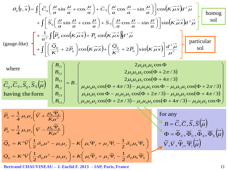$$
\theta_{ij}(t, \vec{x}) = \int \left[ \tilde{C}_{ij} \left( \frac{\mu}{a} \sin \frac{\mu}{a} + \cos \frac{\mu}{a} \right) + \overline{C}_{ij} \left( \frac{\mu}{a} \cos \frac{\mu}{a} - \sin \frac{\mu}{a} \right) \right] \cos \left( K \vec{\mu} \vec{x} \right) d^3 \vec{\mu} + \int \left[ \tilde{S}_{ij} \left( \frac{\mu}{a} \sin \frac{\mu}{a} + \cos \frac{\mu}{a} \right) + \overline{S}_{ij} \left( \frac{\mu}{a} \cos \frac{\mu}{a} - \sin \frac{\mu}{a} \right) \right] \sin \left( K \vec{\mu} \vec{x} \right) d^3 \vec{\mu} + \int \left[ \frac{1}{a^2} \int \left[ \tilde{P}_{ij} \cos \left( K \vec{\mu} \vec{x} \right) + \overline{P}_{ij} \sin \left( K \vec{\mu} \vec{x} \right) \right] d^3 \vec{\mu} + \int \left[ \left( \frac{\tilde{Q}_{ij}}{K^2} + 2 \tilde{P}_{ij} \right) \cos \left( K \vec{\mu} \vec{x} \right) + \left( \frac{\overline{Q}_{ij}}{K^2} + 2 \overline{P}_{ij} \right) \sin \left( K \vec{\mu} \vec{x} \right) \right] \frac{d^3 \vec{\mu}}{\mu^2} + \int \left[ \frac{\overline{Q}_{ij}}{K^2} + 2 \overline{P}_{ij} \right] \cos \Phi + \int \left[ \frac{B_{ij}}{K^2} \right] \cos \Phi + \int \left[ \frac{B_{ij}}{K^2} \right] \cos \Phi + \int \left[ \frac{B_{ij}}{K^2} \right] \cos \Phi + \int \left[ \frac{B_{ij}}{K^2} \right] \cos \Phi + \int \left[ \frac{B_{ij}}{K^2} \right] \cos \Phi + \int \left[ \frac{B_{ij}}{K^2} \right] \cos \Phi + \int \left[ \frac{B_{ij}}{K^2} \right] \cos \Phi + \int \left[ \frac{B_{ij}}{K^2} \right] \cos \Phi + \int \left[ \frac{B_{ij}}{K^2} \right] \cos \Phi + \int \left[ \frac{B_{ij}}{K^2} \right] \cos \Phi + \int \left[ \frac{B_{ij}}{K^2}
$$

whore

where  
\n
$$
\widetilde{C}_{ij}, \overline{C}_{ij}, \overline{S}_{ij}, \overline{S}_{ij}(\overrightarrow{\mu})
$$
\n
$$
\begin{pmatrix}\nB_{11} \\
B_{22} \\
B_{33} \\
B_{12} \\
B_{13}\n\end{pmatrix} = B.
$$
\n
$$
\begin{pmatrix}\n2\mu_1 \mu_2 \mu_3 \cos \Phi \\
2\mu_1 \mu_2 \mu_3 \cos(\Phi + 2\pi/3) \\
2\mu_1 \mu_2 \mu_3 \cos(\Phi + 4\pi/3) \\
\mu_3 \mu_3 \mu_3 \cos(\Phi + 4\pi/3) - \mu_1 \mu_1 \mu_3 \cos \Phi - \mu_2 \mu_2 \mu_3 \cos(\Phi + 2\pi/3) \\
\mu_1 \mu_1 \mu_1 \cos \Phi - \mu_1 \mu_2 \mu_2 \cos(\Phi + 2\pi/3) - \mu_1 \mu_3 \mu_3 \cos(\Phi + 4\pi/3)\n\end{pmatrix}
$$
\nhaving the form\n
$$
\begin{pmatrix}\nB_{11} \\
B_{22} \\
B_{13}\n\end{pmatrix}
$$
\n
$$
\begin{pmatrix}\nB_{12} \\
\mu_1 \mu_1 \mu_1 \cos \Phi - \mu_1 \mu_2 \mu_2 \cos(\Phi + 2\pi/3) - \mu_1 \mu_3 \mu_3 \cos(\Phi + 4\pi/3)\n\end{pmatrix}
$$

 $2\mu_1\mu_2\mu_3\cos\Phi$ 

$$
\widetilde{P}_{ij} = \frac{1}{4} \mu_i \mu_j \left( \widetilde{V} + \frac{\mu_k \overline{\Psi}_k}{K \mu^2} \right) \qquad \text{for any}
$$
\n
$$
\widetilde{P}_{ij} = \frac{1}{4} \mu_i \mu_j \left( \widetilde{V} - \frac{\mu_k \widetilde{\Psi}_k}{K \mu^2} \right) \qquad \qquad B = \widetilde{C}, \overline{C}, \widetilde{S}, \overline{S}(\mu) \qquad \qquad B = \widetilde{Q}_C, \overline{Q}_S, \overline{S}(\mu) \qquad \qquad \tilde{Q}_{ij} = K^2 \widetilde{V} \left( \frac{1}{2} \delta_{ij} \mu^2 - \mu_i \mu_j \right) - K \left( \mu_i \overline{\Psi}_j + \mu_j \overline{\Psi}_i - \frac{1}{2} \delta_{ij} \mu_k \overline{\Psi}_k \right) \qquad \qquad \widetilde{V}, \overline{V}, \widetilde{\Psi}_i, \overline{\Psi}_i(\mu) \qquad \qquad \overline{Q}_{ij} = K^2 \overline{V} \left( \frac{1}{2} \delta_{ij} \mu^2 - \mu_i \mu_j \right) + K \left( \mu_i \widetilde{\Psi}_j + \mu_j \widetilde{\Psi}_i - \frac{1}{2} \delta_{ij} \mu_k \widetilde{\Psi}_k \right)
$$

**Bertrand CHAUVINEAU – J. Euclid F. 2013 – IAP, Paris, France**

 $\sqrt{2}$ 

 $\overline{\phantom{0}}$ 

*B*

 $\overline{\phantom{0}}$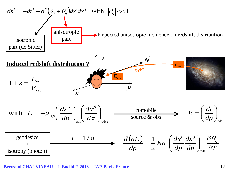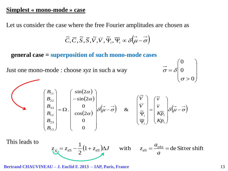## **Simplest « mono-mode » case**

Let us consider the case where the free Fourier amplitudes are chosen as

$$
\widetilde{C}, \overline{C}, \widetilde{S}, \overline{S}, \widetilde{V}, \overline{V}, \widetilde{\Psi}_i, \overline{\Psi}_i \propto \mathcal{S}(\overrightarrow{\mu} - \overrightarrow{\sigma})
$$

 **general case = superposition of such mono-mode cases**

Just one mono-mode : choose *xyz* in such a way

$$
\vec{\sigma} = \delta \begin{pmatrix} 0 \\ 0 \\ \sigma > 0 \end{pmatrix}
$$

$$
\sum_{\begin{bmatrix}B_{11}\\B_{22}\\B_{12}\\B_{23}\\B_{13}\end{bmatrix}}\begin{bmatrix}\sin(2\alpha)\\-\sin(2\alpha)\\0\\cos(2\alpha)\\0\\0\end{bmatrix}\delta(\vec{\mu}-\vec{\sigma}) \quad & \& \quad \begin{bmatrix}\tilde{V}\\ \bar{V}\\ \tilde{\Psi}_i\\ \tilde{\Psi}_i\end{bmatrix}=\begin{bmatrix}\tilde{V}\\ \bar{V}\\ K\tilde{P}_i\\ K\tilde{P}_i\end{bmatrix}\delta(\vec{\mu}-\vec{\sigma})
$$

This leads to

$$
z_{\overline{N}} = z_{ds} - \frac{1}{2} (1 + z_{ds}) \Delta J \quad \text{with} \quad z_{ds} = \frac{a_{obs}}{a} = \text{de Sitter shift}
$$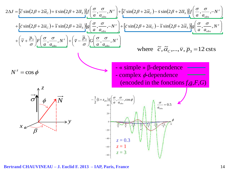$$
2\Delta J = \left[\tilde{c}\sin(2\beta + 2\tilde{\alpha}_c) + \bar{s}\sin(2\beta + 2\bar{\alpha}_s)\right] \int \left(\frac{\sigma}{a}, \frac{\sigma}{a_{obs}}, N^z\right) + \left[\tilde{c}\sin(2\beta + 2\tilde{\alpha}_c) - \bar{s}\sin(2\beta + 2\bar{\alpha}_s)\right] \int \left(\frac{\sigma}{a}, \frac{\sigma}{a_{obs}}, -N^z\right) + \left[\tilde{c}\sin(2\beta + 2\tilde{\alpha}_c) - \tilde{s}\sin(2\beta + 2\bar{\alpha}_s)\right] \int \left(\frac{\sigma}{a}, \frac{\sigma}{a_{obs}}, -N^z\right) + \left[\tilde{c}\sin(2\beta + 2\bar{\alpha}_c) - \tilde{s}\sin(2\beta + 2\bar{\alpha}_s)\right] \left(\frac{\sigma}{a}, \frac{\sigma}{a_{obs}}, N^z\right) + \left(\tilde{v} + \frac{\bar{p}_3}{\sigma}\right) \left[\tilde{c}\left(\frac{\sigma}{a}, \frac{\sigma}{a_{obs}}, N^z\right)\right] + \left(\tilde{v} - \frac{\tilde{p}_3}{\sigma}\right) \left(\frac{\sigma}{a}, \frac{\sigma}{a_{obs}}, N^z\right)
$$
\nwhere  $\tilde{c}, \tilde{\alpha}_c, ..., \tilde{v}, \bar{p}_3 = 12 \text{ csts}$   
\n
$$
N^z = \cos\phi
$$
\n
$$
\frac{\int \phi}{\phi} \sqrt{N}
$$
\n
$$
-\frac{1}{2} (1 + z_{cs}) f \left(\frac{\sigma}{a}, \frac{\sigma}{a_{obs}}, \cos\phi\right)
$$
\n
$$
z = 0.3
$$
\n
$$
z = 1
$$
\n
$$
z = 1
$$
\n
$$
z = 3
$$
\n
$$
\frac{\phi}{z} = 1
$$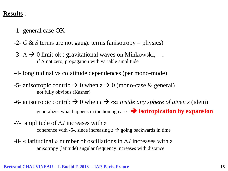## **Results** :

- -1- general case OK
- -2- *C* & *S* terms are not gauge terms (anisotropy = physics)
- $-3$   $\Lambda \rightarrow 0$  limit ok : gravitational waves on Minkowski, .... if  $\Lambda$  not zero, propagation with variable amplitude
- -4- longitudinal vs colatitude dependences (per mono-mode)
- $-5$  anisotropic contrib  $\rightarrow 0$  when  $z \rightarrow 0$  (mono-case & general) not fully obvious (Kasner)
- $-6$  anisotropic contrib  $\rightarrow 0$  when  $t \rightarrow \infty$  *inside any sphere of given z* (idem) generalizes what happens in the homog case **isotropization by expansion**
- -7- amplitude of A*J* increases with *z* coherence with -5-, since increasing  $z \rightarrow$  going backwards in time
- -8- « latitudinal » number of oscillations in A*J* increases with *z* anisotropy (latitude) angular frequency increases with distance